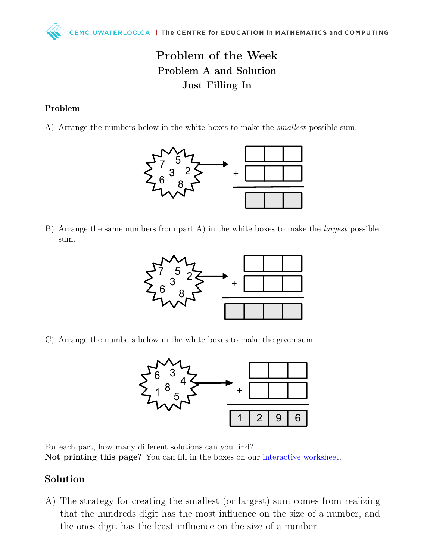## Problem of the Week Problem A and Solution Just Filling In

## Problem

A) Arrange the numbers below in the white boxes to make the smallest possible sum.



B) Arrange the same numbers from part A) in the white boxes to make the largest possible sum.



C) Arrange the numbers below in the white boxes to make the given sum.



For each part, how many different solutions can you find? Not printing this page? You can fill in the boxes on our [interactive worksheet.](https://www.geogebra.org/m/enuq8rua)

## Solution

A) The strategy for creating the smallest (or largest) sum comes from realizing that the hundreds digit has the most influence on the size of a number, and the ones digit has the least influence on the size of a number.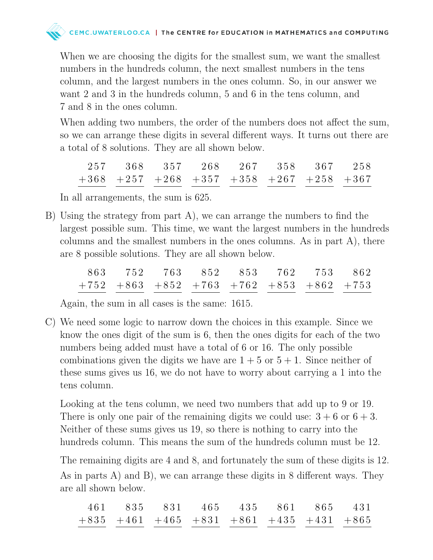

When we are choosing the digits for the smallest sum, we want the smallest numbers in the hundreds column, the next smallest numbers in the tens column, and the largest numbers in the ones column. So, in our answer we want 2 and 3 in the hundreds column, 5 and 6 in the tens column, and 7 and 8 in the ones column.

When adding two numbers, the order of the numbers does not affect the sum, so we can arrange these digits in several different ways. It turns out there are a total of 8 solutions. They are all shown below.

|  |  |  | 257 368 357 268 267 358 367 258                         |  |
|--|--|--|---------------------------------------------------------|--|
|  |  |  | $+368$ $+257$ $+268$ $+357$ $+358$ $+267$ $+258$ $+367$ |  |

In all arrangements, the sum is 625.

B) Using the strategy from part A), we can arrange the numbers to find the largest possible sum. This time, we want the largest numbers in the hundreds columns and the smallest numbers in the ones columns. As in part A), there are 8 possible solutions. They are all shown below.

|  |  | 863 752 763 852 853 762 753 862                         |  |  |
|--|--|---------------------------------------------------------|--|--|
|  |  | $+752$ $+863$ $+852$ $+763$ $+762$ $+853$ $+862$ $+753$ |  |  |

Again, the sum in all cases is the same: 1615.

C) We need some logic to narrow down the choices in this example. Since we know the ones digit of the sum is 6, then the ones digits for each of the two numbers being added must have a total of 6 or 16. The only possible combinations given the digits we have are  $1 + 5$  or  $5 + 1$ . Since neither of these sums gives us 16, we do not have to worry about carrying a 1 into the tens column.

Looking at the tens column, we need two numbers that add up to 9 or 19. There is only one pair of the remaining digits we could use:  $3 + 6$  or  $6 + 3$ . Neither of these sums gives us 19, so there is nothing to carry into the hundreds column. This means the sum of the hundreds column must be 12.

The remaining digits are 4 and 8, and fortunately the sum of these digits is 12. As in parts A) and B), we can arrange these digits in 8 different ways. They are all shown below.

|  |  |  | 461 835 831 465 435 861 865 431                         |  |
|--|--|--|---------------------------------------------------------|--|
|  |  |  | $+835$ $+461$ $+465$ $+831$ $+861$ $+435$ $+431$ $+865$ |  |